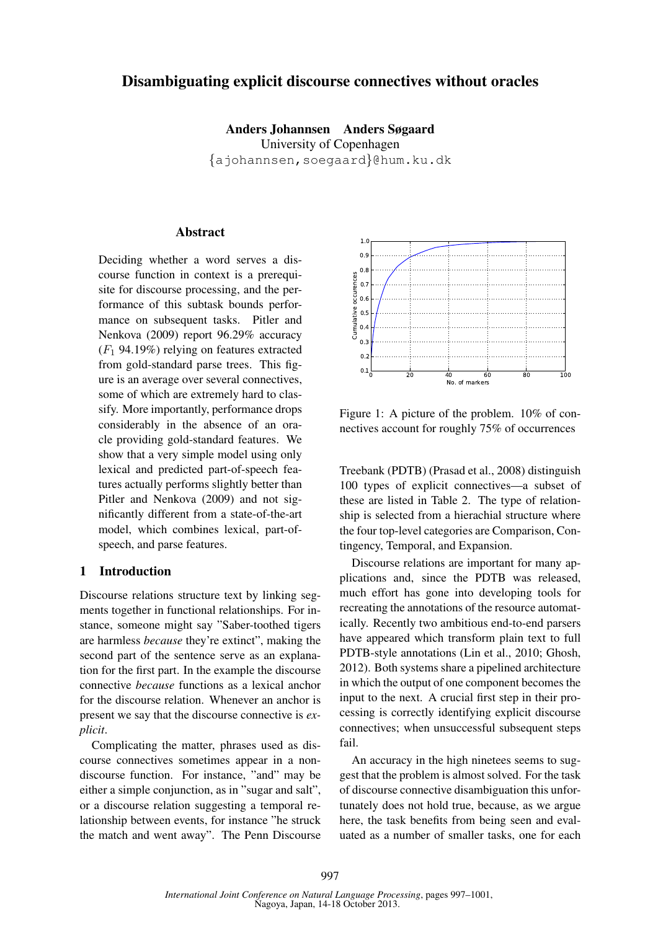## Disambiguating explicit discourse connectives without oracles

Anders Johannsen Anders Søgaard University of Copenhagen *{*ajohannsen,soegaard*}*@hum.ku.dk

### Abstract

Deciding whether a word serves a discourse function in context is a prerequisite for discourse processing, and the performance of this subtask bounds performance on subsequent tasks. Pitler and Nenkova (2009) report 96.29% accuracy (*F*<sup>1</sup> 94.19%) relying on features extracted from gold-standard parse trees. This figure is an average over several connectives, some of which are extremely hard to classify. More importantly, performance drops considerably in the absence of an oracle providing gold-standard features. We show that a very simple model using only lexical and predicted part-of-speech features actually performs slightly better than Pitler and Nenkova (2009) and not significantly different from a state-of-the-art model, which combines lexical, part-ofspeech, and parse features.

### 1 Introduction

Discourse relations structure text by linking segments together in functional relationships. For instance, someone might say "Saber-toothed tigers are harmless *because* they're extinct", making the second part of the sentence serve as an explanation for the first part. In the example the discourse connective *because* functions as a lexical anchor for the discourse relation. Whenever an anchor is present we say that the discourse connective is *explicit*.

Complicating the matter, phrases used as discourse connectives sometimes appear in a nondiscourse function. For instance, "and" may be either a simple conjunction, as in "sugar and salt", or a discourse relation suggesting a temporal relationship between events, for instance "he struck



Figure 1: A picture of the problem. 10% of connectives account for roughly 75% of occurrences

Treebank (PDTB) (Prasad et al., 2008) distinguish 100 types of explicit connectives—a subset of these are listed in Table 2. The type of relationship is selected from a hierachial structure where the four top-level categories are Comparison, Contingency, Temporal, and Expansion.

the material are stress over several connectives.<br>
Some of which are attended by in the absence of an ora-<br>
stify. More importantly, performance drops<br>
stify. More importantly, performance drops<br>
considerably in the absen Discourse relations are important for many applications and, since the PDTB was released, much effort has gone into developing tools for recreating the annotations of the resource automatically. Recently two ambitious end-to-end parsers have appeared which transform plain text to full PDTB-style annotations (Lin et al., 2010; Ghosh, 2012). Both systems share a pipelined architecture in which the output of one component becomes the input to the next. A crucial first step in their processing is correctly identifying explicit discourse connectives; when unsuccessful subsequent steps fail.

An accuracy in the high ninetees seems to suggest that the problem is almost solved. For the task of discourse connective disambiguation this unfortunately does not hold true, because, as we argue here, the task benefits from being seen and evaluated as a number of smaller tasks, one for each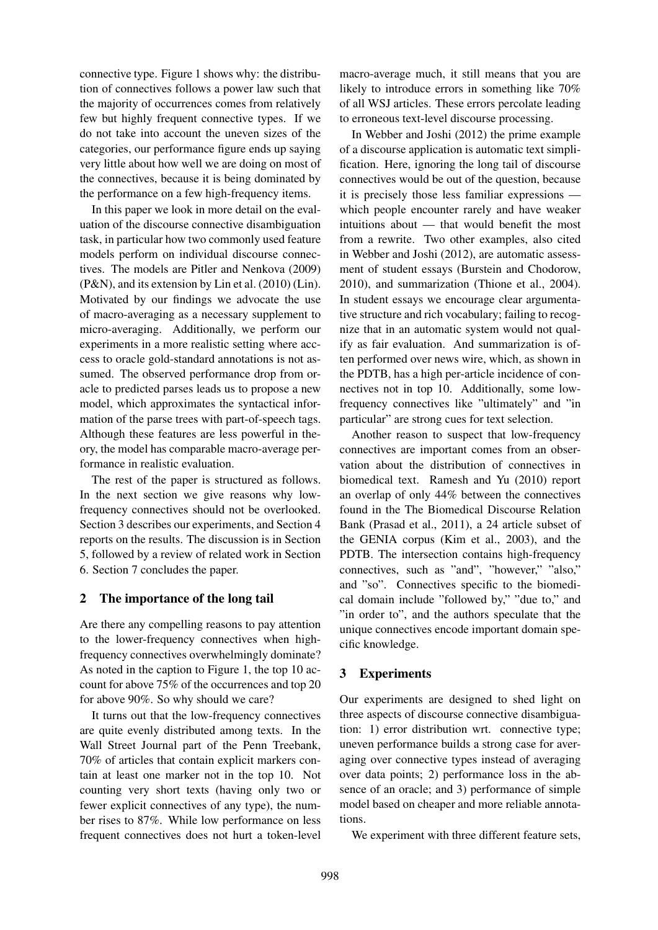connective type. Figure 1 shows why: the distribution of connectives follows a power law such that the majority of occurrences comes from relatively few but highly frequent connective types. If we do not take into account the uneven sizes of the categories, our performance figure ends up saying very little about how well we are doing on most of the connectives, because it is being dominated by the performance on a few high-frequency items.

In this paper we look in more detail on the evaluation of the discourse connective disambiguation task, in particular how two commonly used feature models perform on individual discourse connectives. The models are Pitler and Nenkova (2009) (P&N), and its extension by Lin et al. (2010) (Lin). Motivated by our findings we advocate the use of macro-averaging as a necessary supplement to micro-averaging. Additionally, we perform our experiments in a more realistic setting where acccess to oracle gold-standard annotations is not assumed. The observed performance drop from oracle to predicted parses leads us to propose a new model, which approximates the syntactical information of the parse trees with part-of-speech tags. Although these features are less powerful in theory, the model has comparable macro-average performance in realistic evaluation.

The rest of the paper is structured as follows. In the next section we give reasons why lowfrequency connectives should not be overlooked. Section 3 describes our experiments, and Section 4 reports on the results. The discussion is in Section 5, followed by a review of related work in Section 6. Section 7 concludes the paper.

## 2 The importance of the long tail

Are there any compelling reasons to pay attention to the lower-frequency connectives when highfrequency connectives overwhelmingly dominate? As noted in the caption to Figure 1, the top 10 account for above 75% of the occurrences and top 20 for above 90%. So why should we care?

It turns out that the low-frequency connectives are quite evenly distributed among texts. In the Wall Street Journal part of the Penn Treebank, 70% of articles that contain explicit markers contain at least one marker not in the top 10. Not counting very short texts (having only two or fewer explicit connectives of any type), the number rises to 87%. While low performance on less frequent connectives does not hurt a token-level macro-average much, it still means that you are likely to introduce errors in something like 70% of all WSJ articles. These errors percolate leading to erroneous text-level discourse processing.

In Webber and Joshi (2012) the prime example of a discourse application is automatic text simplification. Here, ignoring the long tail of discourse connectives would be out of the question, because it is precisely those less familiar expressions which people encounter rarely and have weaker intuitions about — that would benefit the most from a rewrite. Two other examples, also cited in Webber and Joshi (2012), are automatic assessment of student essays (Burstein and Chodorow, 2010), and summarization (Thione et al., 2004). In student essays we encourage clear argumentative structure and rich vocabulary; failing to recognize that in an automatic system would not qualify as fair evaluation. And summarization is often performed over news wire, which, as shown in the PDTB, has a high per-article incidence of connectives not in top 10. Additionally, some lowfrequency connectives like "ultimately" and "in particular" are strong cues for text selection.

Another reason to suspect that low-frequency connectives are important comes from an observation about the distribution of connectives in biomedical text. Ramesh and Yu (2010) report an overlap of only 44% between the connectives found in the The Biomedical Discourse Relation Bank (Prasad et al., 2011), a 24 article subset of the GENIA corpus (Kim et al., 2003), and the PDTB. The intersection contains high-frequency connectives, such as "and", "however," "also," and "so". Connectives specific to the biomedical domain include "followed by," "due to," and "in order to", and the authors speculate that the unique connectives encode important domain specific knowledge.

# 3 Experiments

Our experiments are designed to shed light on three aspects of discourse connective disambiguation: 1) error distribution wrt. connective type; uneven performance builds a strong case for averaging over connective types instead of averaging over data points; 2) performance loss in the absence of an oracle; and 3) performance of simple model based on cheaper and more reliable annotations.

We experiment with three different feature sets,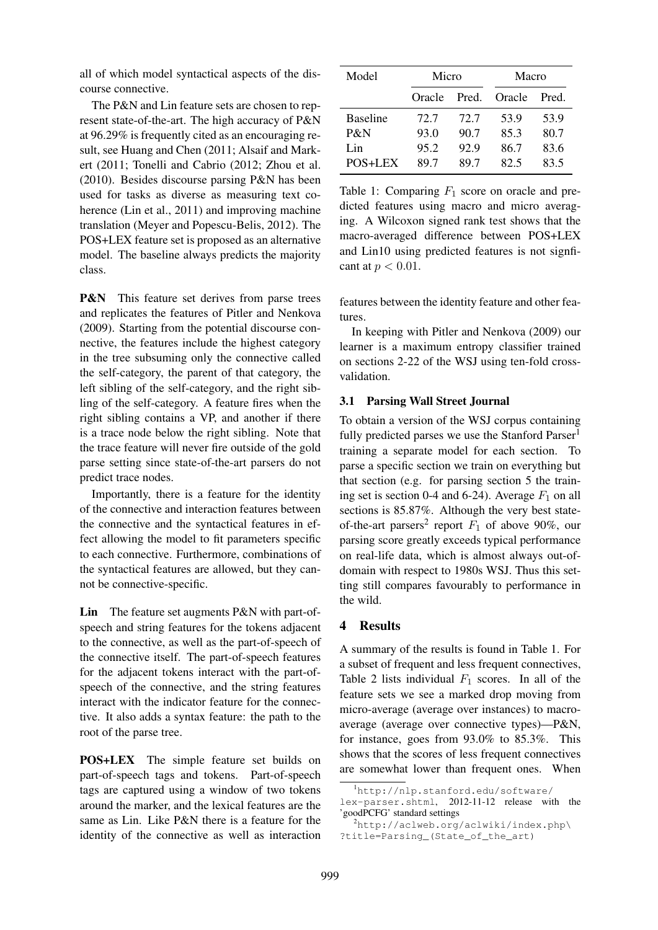all of which model syntactical aspects of the discourse connective.

The P&N and Lin feature sets are chosen to represent state-of-the-art. The high accuracy of P&N at 96.29% is frequently cited as an encouraging result, see Huang and Chen (2011; Alsaif and Markert (2011; Tonelli and Cabrio (2012; Zhou et al. (2010). Besides discourse parsing P&N has been used for tasks as diverse as measuring text coherence (Lin et al., 2011) and improving machine translation (Meyer and Popescu-Belis, 2012). The POS+LEX feature set is proposed as an alternative model. The baseline always predicts the majority class.

**P&N** This feature set derives from parse trees and replicates the features of Pitler and Nenkova (2009). Starting from the potential discourse connective, the features include the highest category in the tree subsuming only the connective called the self-category, the parent of that category, the left sibling of the self-category, and the right sibling of the self-category. A feature fires when the right sibling contains a VP, and another if there is a trace node below the right sibling. Note that the trace feature will never fire outside of the gold parse setting since state-of-the-art parsers do not predict trace nodes.

Importantly, there is a feature for the identity of the connective and interaction features between the connective and the syntactical features in effect allowing the model to fit parameters specific to each connective. Furthermore, combinations of the syntactical features are allowed, but they cannot be connective-specific.

Lin The feature set augments P&N with part-ofspeech and string features for the tokens adjacent to the connective, as well as the part-of-speech of the connective itself. The part-of-speech features for the adjacent tokens interact with the part-ofspeech of the connective, and the string features interact with the indicator feature for the connective. It also adds a syntax feature: the path to the root of the parse tree.

POS+LEX The simple feature set builds on part-of-speech tags and tokens. Part-of-speech tags are captured using a window of two tokens around the marker, and the lexical features are the same as Lin. Like P&N there is a feature for the identity of the connective as well as interaction

| Model           | Micro  |       | Macro  |       |  |
|-----------------|--------|-------|--------|-------|--|
|                 | Oracle | Pred. | Oracle | Pred. |  |
| <b>Baseline</b> | 72.7   | 72.7  | 53.9   | 53.9  |  |
| P&N             | 93.0   | 90.7  | 85.3   | 80.7  |  |
| Lin             | 95.2   | 92.9  | 86.7   | 83.6  |  |
| POS+LEX         | 897    | 897   | 82.5   | 83.5  |  |

Table 1: Comparing  $F_1$  score on oracle and predicted features using macro and micro averaging. A Wilcoxon signed rank test shows that the macro-averaged difference between POS+LEX and Lin10 using predicted features is not signficant at *p <* 0*.*01.

features between the identity feature and other features.

In keeping with Pitler and Nenkova (2009) our learner is a maximum entropy classifier trained on sections 2-22 of the WSJ using ten-fold crossvalidation.

#### 3.1 Parsing Wall Street Journal

To obtain a version of the WSJ corpus containing fully predicted parses we use the Stanford Parser<sup>1</sup> training a separate model for each section. To parse a specific section we train on everything but that section (e.g. for parsing section 5 the training set is section 0-4 and 6-24). Average  $F_1$  on all sections is 85.87%. Although the very best stateof-the-art parsers<sup>2</sup> report  $F_1$  of above 90%, our parsing score greatly exceeds typical performance on real-life data, which is almost always out-ofdomain with respect to 1980s WSJ. Thus this setting still compares favourably to performance in the wild.

#### 4 Results

A summary of the results is found in Table 1. For a subset of frequent and less frequent connectives, Table 2 lists individual  $F_1$  scores. In all of the feature sets we see a marked drop moving from micro-average (average over instances) to macroaverage (average over connective types)—P&N, for instance, goes from 93.0% to 85.3%. This shows that the scores of less frequent connectives are somewhat lower than frequent ones. When

<sup>&</sup>lt;sup>1</sup>http://nlp.stanford.edu/software/

lex-parser.shtml, 2012-11-12 release with the 'goodPCFG' standard settings

<sup>2</sup>http://aclweb.org/aclwiki/index.php\ ?title=Parsing\_(State\_of\_the\_art)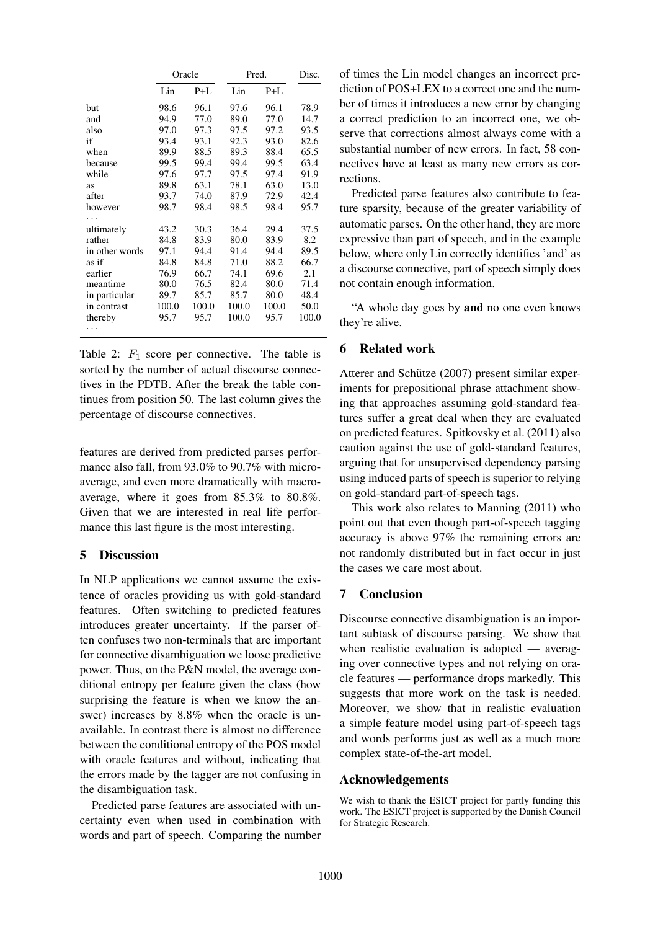|                |       | Oracle |       | Pred. |       |
|----------------|-------|--------|-------|-------|-------|
|                | Lin   | $P+L$  | Lin   | P+L   |       |
| but            | 98.6  | 96.1   | 97.6  | 96.1  | 78.9  |
| and            | 94.9  | 77.0   | 89.0  | 77.0  | 14.7  |
| also           | 97.0  | 97.3   | 97.5  | 97.2  | 93.5  |
| if             | 93.4  | 93.1   | 92.3  | 93.0  | 82.6  |
| when           | 89.9  | 88.5   | 89.3  | 88.4  | 65.5  |
| because        | 99.5  | 99.4   | 99.4  | 99.5  | 63.4  |
| while          | 97.6  | 97.7   | 97.5  | 97.4  | 91.9  |
| as             | 89.8  | 63.1   | 78.1  | 63.0  | 13.0  |
| after          | 93.7  | 74.0   | 87.9  | 72.9  | 42.4  |
| however        | 98.7  | 98.4   | 98.5  | 98.4  | 95.7  |
| .              |       |        |       |       |       |
| ultimately     | 43.2  | 30.3   | 36.4  | 29.4  | 37.5  |
| rather         | 84.8  | 83.9   | 80.0  | 83.9  | 8.2   |
| in other words | 97.1  | 94.4   | 91.4  | 94.4  | 89.5  |
| as if          | 84.8  | 84.8   | 71.0  | 88.2  | 66.7  |
| earlier        | 76.9  | 66.7   | 74.1  | 69.6  | 2.1   |
| meantime       | 80.0  | 76.5   | 82.4  | 80.0  | 71.4  |
| in particular  | 89.7  | 85.7   | 85.7  | 80.0  | 48.4  |
| in contrast    | 100.0 | 100.0  | 100.0 | 100.0 | 50.0  |
| thereby        | 95.7  | 95.7   | 100.0 | 95.7  | 100.0 |
| .              |       |        |       |       |       |

Table 2:  $F_1$  score per connective. The table is sorted by the number of actual discourse connectives in the PDTB. After the break the table continues from position 50. The last column gives the percentage of discourse connectives.

features are derived from predicted parses performance also fall, from 93.0% to 90.7% with microaverage, and even more dramatically with macroaverage, where it goes from 85.3% to 80.8%. Given that we are interested in real life performance this last figure is the most interesting.

# 5 Discussion

In NLP applications we cannot assume the existence of oracles providing us with gold-standard features. Often switching to predicted features introduces greater uncertainty. If the parser often confuses two non-terminals that are important for connective disambiguation we loose predictive power. Thus, on the P&N model, the average conditional entropy per feature given the class (how surprising the feature is when we know the answer) increases by 8.8% when the oracle is unavailable. In contrast there is almost no difference between the conditional entropy of the POS model with oracle features and without, indicating that the errors made by the tagger are not confusing in the disambiguation task.

Predicted parse features are associated with uncertainty even when used in combination with words and part of speech. Comparing the number of times the Lin model changes an incorrect prediction of POS+LEX to a correct one and the number of times it introduces a new error by changing a correct prediction to an incorrect one, we observe that corrections almost always come with a substantial number of new errors. In fact, 58 connectives have at least as many new errors as corrections.

Predicted parse features also contribute to feature sparsity, because of the greater variability of automatic parses. On the other hand, they are more expressive than part of speech, and in the example below, where only Lin correctly identifies 'and' as a discourse connective, part of speech simply does not contain enough information.

"A whole day goes by and no one even knows they're alive.

## 6 Related work

Atterer and Schütze (2007) present similar experiments for prepositional phrase attachment showing that approaches assuming gold-standard features suffer a great deal when they are evaluated on predicted features. Spitkovsky et al. (2011) also caution against the use of gold-standard features, arguing that for unsupervised dependency parsing using induced parts of speech is superior to relying on gold-standard part-of-speech tags.

This work also relates to Manning (2011) who point out that even though part-of-speech tagging accuracy is above 97% the remaining errors are not randomly distributed but in fact occur in just the cases we care most about.

# 7 Conclusion

Discourse connective disambiguation is an important subtask of discourse parsing. We show that when realistic evaluation is adopted — averaging over connective types and not relying on oracle features — performance drops markedly. This suggests that more work on the task is needed. Moreover, we show that in realistic evaluation a simple feature model using part-of-speech tags and words performs just as well as a much more complex state-of-the-art model.

# Acknowledgements

We wish to thank the ESICT project for partly funding this work. The ESICT project is supported by the Danish Council for Strategic Research.